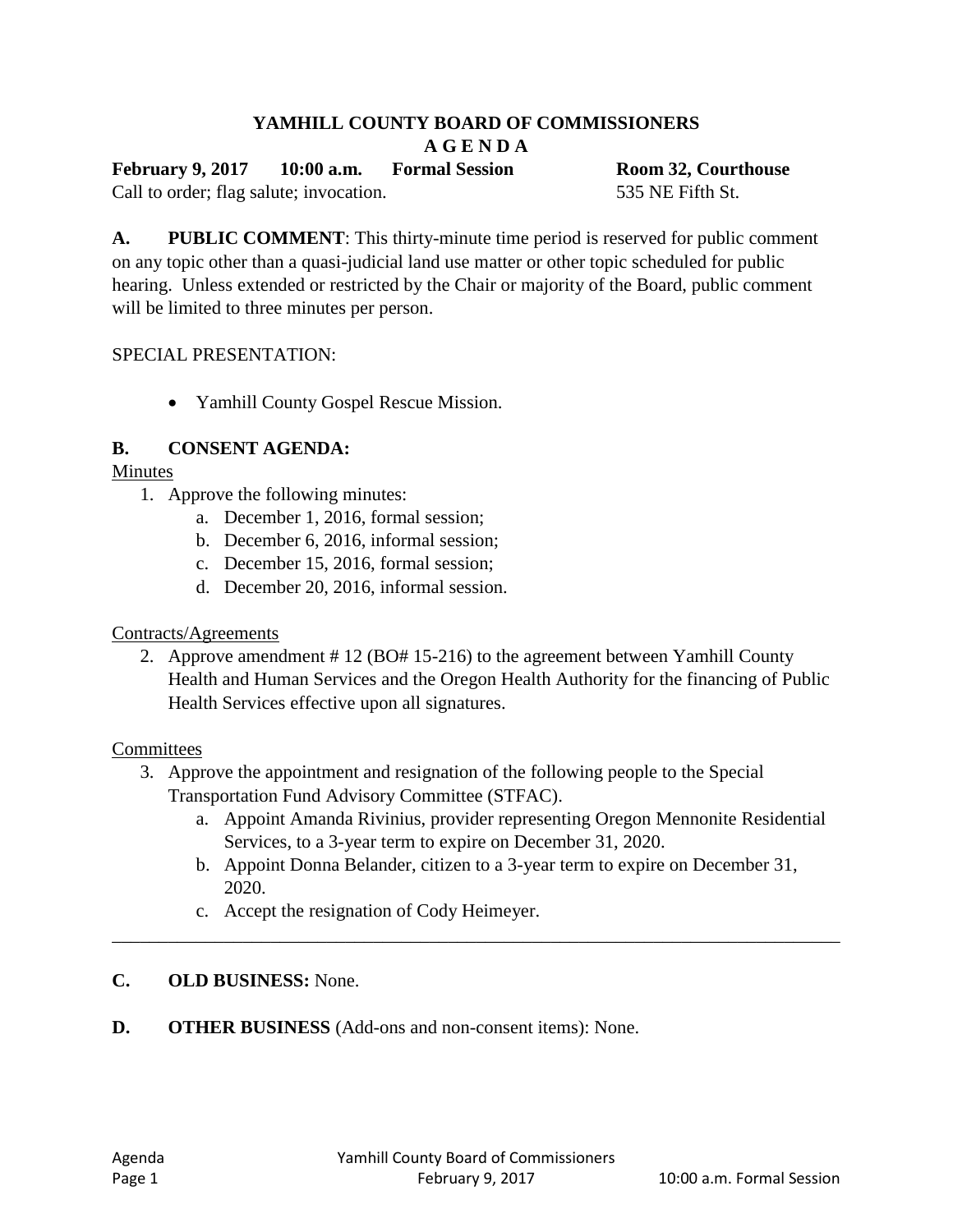# **YAMHILL COUNTY BOARD OF COMMISSIONERS**

**A G E N D A** 

**February 9, 2017 10:00 a.m. Formal Session Room 32, Courthouse**

Call to order; flag salute; invocation. 535 NE Fifth St.

**A. PUBLIC COMMENT**: This thirty-minute time period is reserved for public comment on any topic other than a quasi-judicial land use matter or other topic scheduled for public hearing. Unless extended or restricted by the Chair or majority of the Board, public comment will be limited to three minutes per person.

#### SPECIAL PRESENTATION:

Yamhill County Gospel Rescue Mission.

#### **B. CONSENT AGENDA:**

Minutes

- 1. Approve the following minutes:
	- a. December 1, 2016, formal session;
	- b. December 6, 2016, informal session;
	- c. December 15, 2016, formal session;
	- d. December 20, 2016, informal session.

#### Contracts/Agreements

2. Approve amendment # 12 (BO# 15-216) to the agreement between Yamhill County Health and Human Services and the Oregon Health Authority for the financing of Public Health Services effective upon all signatures.

#### **Committees**

- 3. Approve the appointment and resignation of the following people to the Special Transportation Fund Advisory Committee (STFAC).
	- a. Appoint Amanda Rivinius, provider representing Oregon Mennonite Residential Services, to a 3-year term to expire on December 31, 2020.
	- b. Appoint Donna Belander, citizen to a 3-year term to expire on December 31, 2020.

\_\_\_\_\_\_\_\_\_\_\_\_\_\_\_\_\_\_\_\_\_\_\_\_\_\_\_\_\_\_\_\_\_\_\_\_\_\_\_\_\_\_\_\_\_\_\_\_\_\_\_\_\_\_\_\_\_\_\_\_\_\_\_\_\_\_\_\_\_\_\_\_\_\_\_\_\_\_

c. Accept the resignation of Cody Heimeyer.

### **C. OLD BUSINESS:** None.

**D. OTHER BUSINESS** (Add-ons and non-consent items): None.